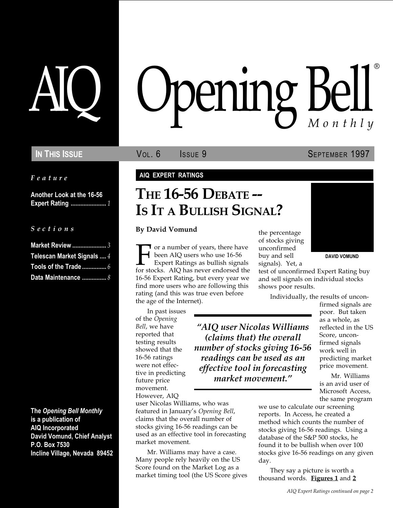Feature

Another Look at the 16-56 Expert Rating ...................... 1

#### S e c t i o n s

| Market Review  3           |  |
|----------------------------|--|
| Telescan Market Signals  4 |  |
| Tools of the Trade $6$     |  |
| Data Maintenance $8$       |  |

The Opening Bell Monthly is a publication of AIQ Incorporated David Vomund, Chief Analyst P.O. Box 7530 Incline Village, Nevada 89452

# pening Bell ®

In This Issue **SEPTEMBER 1997** Vol. 6 **SEPTEMBER 1997** 

### AIQ EXPERT RATINGS

# THE 16-56 DEBATE -- IS IT A BULLISH SIGNAL?

### By David Vomund

**T** or a number of years, there have been AIQ users who use 16-56 Expert Ratings as bullish signals for stocks. AIQ has never endorsed the 16-56 Expert Rating, but every year we find more users who are following this rating (and this was true even before the age of the Internet).

In past issues of the Opening Bell, we have reported that testing results showed that the 16-56 ratings were not effective in predicting future price movement.

However, AIQ user Nicolas Williams, who was featured in January's Opening Bell, claims that the overall number of stocks giving 16-56 readings can be used as an effective tool in forecasting market movement.

Mr. Williams may have a case. Many people rely heavily on the US Score found on the Market Log as a market timing tool (the US Score gives the percentage of stocks giving unconfirmed buy and sell signals). Yet, a

AIQ user Nicolas Williams (claims that) the overall number of stocks giving 16-56 readings can be used as an effective tool in forecasting market movement.



DAVID VOMUND

test of unconfirmed Expert Rating buy and sell signals on individual stocks shows poor results.

Individually, the results of uncon-

firmed signals are poor. But taken as a whole, as reflected in the US Score, unconfirmed signals work well in predicting market price movement.

Mr. Williams is an avid user of Microsoft Access, the same program

we use to calculate our screening reports. In Access, he created a method which counts the number of stocks giving 16-56 readings. Using a database of the S&P 500 stocks, he found it to be bullish when over 100 stocks give 16-56 readings on any given day.

They say a picture is worth a thousand words. Figures 1 and 2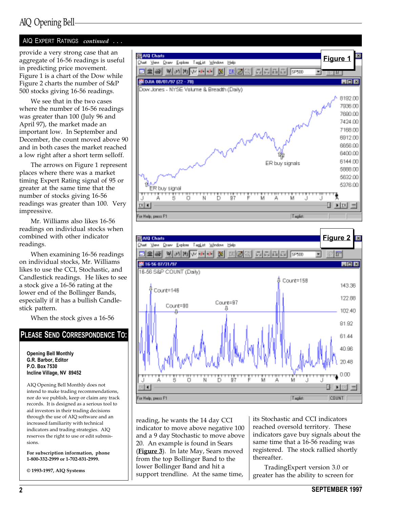### AIQ Opening Bell

### AIQ EXPERT RATINGS continued . . .

in predicting price movement. Figure 1 is a chart of the Dow while Figure 2 charts the number of S&P 500 stocks giving 16-56 readings.

We see that in the two cases where the number of 16-56 readings was greater than 100 (July 96 and April 97), the market made an important low. In September and December, the count moved above 90 and in both cases the market reached a low right after a short term selloff.

The arrows on Figure 1 represent places where there was a market timing Expert Rating signal of 95 or greater at the same time that the number of stocks giving 16-56 readings was greater than 100. Very impressive.

Mr. Williams also likes 16-56 readings on individual stocks when combined with other indicator readings.

When examining 16-56 readings on individual stocks, Mr. Williams likes to use the CCI, Stochastic, and Candlestick readings. He likes to see a stock give a 16-56 rating at the lower end of the Bollinger Bands, especially if it has a bullish Candlestick pattern.

When the stock gives a 16-56

### PLEASE SEND CORRESPONDENCE TO:

Opening Bell Monthly G.R. Barbor, Editor P.O. Box 7530 Incline Village, NV 89452

AIQ Opening Bell Monthly does not intend to make trading recommendations, nor do we publish, keep or claim any track records. It is designed as a serious tool to aid investors in their trading decisions through the use of AIQ software and an increased familiarity with technical indicators and trading strategies. AIQ reserves the right to use or edit submissions.

For subscription information, phone 1-800-332-2999 or 1-702-831-2999.

© 1993-1997, AIQ Systems





reading, he wants the 14 day CCI indicator to move above negative 100 and a 9 day Stochastic to move above 20. An example is found in Sears (Figure 3). In late May, Sears moved from the top Bollinger Band to the lower Bollinger Band and hit a support trendline. At the same time,

its Stochastic and CCI indicators reached oversold territory. These indicators gave buy signals about the same time that a 16-56 reading was registered. The stock rallied shortly thereafter.

TradingExpert version 3.0 or greater has the ability to screen for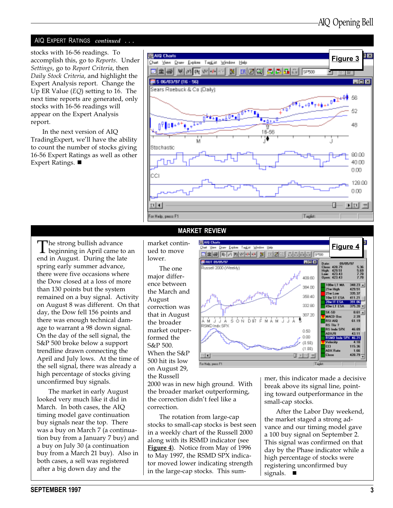### AIQ EXPERT RATINGS continued . . .

Settings, go to Report Criteria, then Daily Stock Criteria, and highlight the Expert Analysis report. Change the Up ER Value (EQ) setting to 16. The next time reports are generated, only stocks with 16-56 readings will appear on the Expert Analysis report.

In the next version of AIQ TradingExpert, we'll have the ability to count the number of stocks giving 16-56 Expert Ratings as well as other Expert Ratings.  $\blacksquare$ 



The strong bullish advance<br>beginning in April came to an<br>and in August During the late end in August. During the late spring early summer advance, there were five occasions where the Dow closed at a loss of more than 130 points but the system remained on a buy signal. Activity on August 8 was different. On that day, the Dow fell 156 points and there was enough technical damage to warrant a 98 down signal. On the day of the sell signal, the S&P 500 broke below a support trendline drawn connecting the April and July lows. At the time of the sell signal, there was already a high percentage of stocks giving unconfirmed buy signals.

The market in early August looked very much like it did in March. In both cases, the AIQ timing model gave continuation buy signals near the top. There was a buy on March 7 (a continuation buy from a January 7 buy) and a buy on July 30 (a continuation buy from a March 21 buy). Also in both cases, a sell was registered after a big down day and the

### MARKET REVIEW

market continued to move lower.

The one major difference between the March and August correction was that in August the broader market outperformed the S&P 500. When the S&P 500 hit its low on August 29, the Russell

2000 was in new high ground. With the broader market outperforming, the correction didn't feel like a correction.

The rotation from large-cap stocks to small-cap stocks is best seen in a weekly chart of the Russell 2000 along with its RSMD indicator (see **Figure 4**). Notice from May of 1996 to May 1997, the RSMD SPX indicator moved lower indicating strength in the large-cap stocks. This sum-



mer, this indicator made a decisive break above its signal line, pointing toward outperformance in the small-cap stocks.

After the Labor Day weekend, the market staged a strong advance and our timing model gave a 100 buy signal on September 2. This signal was confirmed on that day by the Phase indicator while a high percentage of stocks were registering unconfirmed buy signals.  $\blacksquare$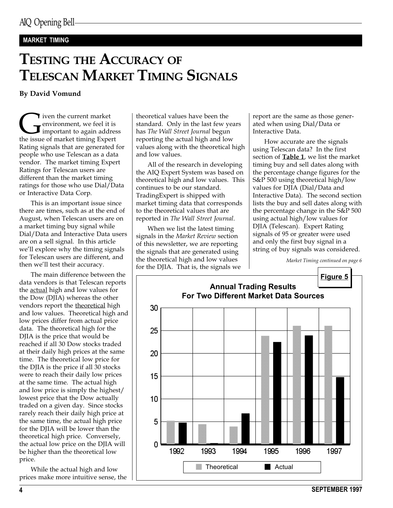### MARKET TIMING

# TESTING THE ACCURACY OF TELESCAN MARKET TIMING SIGNALS

By David Vomund

I ven the current market<br>
environment, we feel it<br>
the issue of market timing Expe environment, we feel it is important to again address the issue of market timing Expert Rating signals that are generated for people who use Telescan as a data vendor. The market timing Expert Ratings for Telescan users are different than the market timing ratings for those who use Dial/Data or Interactive Data Corp.

This is an important issue since there are times, such as at the end of August, when Telescan users are on a market timing buy signal while Dial/Data and Interactive Data users are on a sell signal. In this article we'll explore why the timing signals for Telescan users are different, and then we'll test their accuracy.

The main difference between the data vendors is that Telescan reports the actual high and low values for the Dow (DJIA) whereas the other vendors report the theoretical high and low values. Theoretical high and low prices differ from actual price data. The theoretical high for the DJIA is the price that would be reached if all 30 Dow stocks traded at their daily high prices at the same time. The theoretical low price for the DJIA is the price if all 30 stocks were to reach their daily low prices at the same time. The actual high and low price is simply the highest/ lowest price that the Dow actually traded on a given day. Since stocks rarely reach their daily high price at the same time, the actual high price for the DJIA will be lower than the theoretical high price. Conversely, the actual low price on the DJIA will be higher than the theoretical low price.

While the actual high and low prices make more intuitive sense, the

theoretical values have been the standard. Only in the last few years has The Wall Street Journal begun reporting the actual high and low values along with the theoretical high and low values.

All of the research in developing the AIQ Expert System was based on theoretical high and low values. This continues to be our standard. TradingExpert is shipped with market timing data that corresponds to the theoretical values that are reported in The Wall Street Journal.

When we list the latest timing signals in the Market Review section of this newsletter, we are reporting the signals that are generated using the theoretical high and low values for the DJIA. That is, the signals we report are the same as those generated when using Dial/Data or Interactive Data.

How accurate are the signals using Telescan data? In the first section of **Table 1**, we list the market timing buy and sell dates along with the percentage change figures for the S&P 500 using theoretical high/low values for DJIA (Dial/Data and Interactive Data). The second section lists the buy and sell dates along with the percentage change in the S&P 500 using actual high/low values for DJIA (Telescan). Expert Rating signals of 95 or greater were used and only the first buy signal in a string of buy signals was considered.

Market Timing continued on page 6

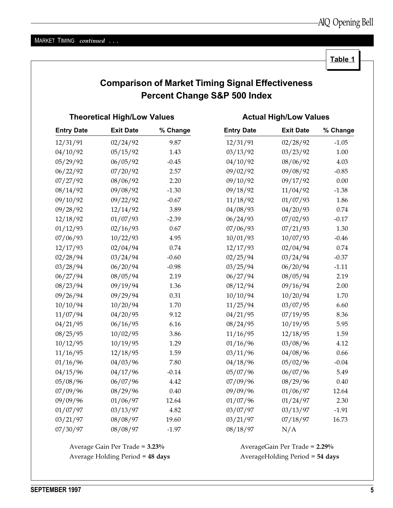Table 1

### Comparison of Market Timing Signal Effectiveness Percent Change S&P 500 Index

| <b>Theoretical High/Low Values</b> |                  |          | <b>Actual High/Low Values</b> |                  |          |  |
|------------------------------------|------------------|----------|-------------------------------|------------------|----------|--|
| <b>Entry Date</b>                  | <b>Exit Date</b> | % Change | <b>Entry Date</b>             | <b>Exit Date</b> | % Change |  |
| 12/31/91                           | 02/24/92         | 9.87     | 12/31/91                      | 02/28/92         | $-1.05$  |  |
| 04/10/92                           | 05/15/92         | 1.43     | 03/13/92                      | 03/23/92         | 1.00     |  |
| 05/29/92                           | 06/05/92         | $-0.45$  | 04/10/92                      | 08/06/92         | 4.03     |  |
| 06/22/92                           | 07/20/92         | 2.57     | 09/02/92                      | 09/08/92         | $-0.85$  |  |
| 07/27/92                           | 08/06/92         | 2.20     | 09/10/92                      | 09/17/92         | $0.00\,$ |  |
| 08/14/92                           | 09/08/92         | $-1.30$  | 09/18/92                      | 11/04/92         | $-1.38$  |  |
| 09/10/92                           | 09/22/92         | $-0.67$  | 11/18/92                      | 01/07/93         | 1.86     |  |
| 09/28/92                           | 12/14/92         | 3.89     | 04/08/93                      | 04/20/93         | 0.74     |  |
| 12/18/92                           | 01/07/93         | $-2.39$  | 06/24/93                      | 07/02/93         | $-0.17$  |  |
| 01/12/93                           | 02/16/93         | 0.67     | 07/06/93                      | 07/21/93         | 1.30     |  |
| 07/06/93                           | 10/22/93         | 4.95     | 10/01/93                      | 10/07/93         | $-0.46$  |  |
| 12/17/93                           | 02/04/94         | 0.74     | 12/17/93                      | 02/04/94         | 0.74     |  |
| 02/28/94                           | 03/24/94         | $-0.60$  | 02/25/94                      | 03/24/94         | $-0.37$  |  |
| 03/28/94                           | 06/20/94         | $-0.98$  | 03/25/94                      | 06/20/94         | $-1.11$  |  |
| 06/27/94                           | 08/05/94         | 2.19     | 06/27/94                      | 08/05/94         | 2.19     |  |
| 08/23/94                           | 09/19/94         | 1.36     | 08/12/94                      | 09/16/94         | 2.00     |  |
| 09/26/94                           | 09/29/94         | 0.31     | 10/10/94                      | 10/20/94         | 1.70     |  |
| 10/10/94                           | 10/20/94         | 1.70     | 11/25/94                      | 03/07/95         | 6.60     |  |
| 11/07/94                           | 04/20/95         | 9.12     | 04/21/95                      | 07/19/95         | 8.36     |  |
| 04/21/95                           | 06/16/95         | 6.16     | 08/24/95                      | 10/19/95         | 5.95     |  |
| 08/25/95                           | 10/02/95         | 3.86     | 11/16/95                      | 12/18/95         | 1.59     |  |
| 10/12/95                           | 10/19/95         | 1.29     | 01/16/96                      | 03/08/96         | 4.12     |  |
| 11/16/95                           | 12/18/95         | 1.59     | 03/11/96                      | 04/08/96         | 0.66     |  |
| 01/16/96                           | 04/03/96         | 7.80     | 04/18/96                      | 05/02/96         | $-0.04$  |  |
| 04/15/96                           | 04/17/96         | $-0.14$  | 05/07/96                      | 06/07/96         | 5.49     |  |
| 05/08/96                           | 06/07/96         | 4.42     | 07/09/96                      | 08/29/96         | 0.40     |  |
| 07/09/96                           | 08/29/96         | $0.40\,$ | 09/09/96                      | 01/06/97         | 12.64    |  |
| 09/09/96                           | 01/06/97         | 12.64    | 01/07/96                      | 01/24/97         | 2.30     |  |
| 01/07/97                           | 03/13/97         | 4.82     | 03/07/97                      | 03/13/97         | $-1.91$  |  |
| 03/21/97                           | 08/08/97         | 19.60    | 03/21/97                      | 07/18/97         | 16.73    |  |
| 07/30/97                           | 08/08/97         | $-1.97$  | 08/18/97                      | N/A              |          |  |

Average Holding Period = 48 days AverageHolding Period = 54 days

Average Gain Per Trade = 3.23% AverageGain Per Trade = 2.29%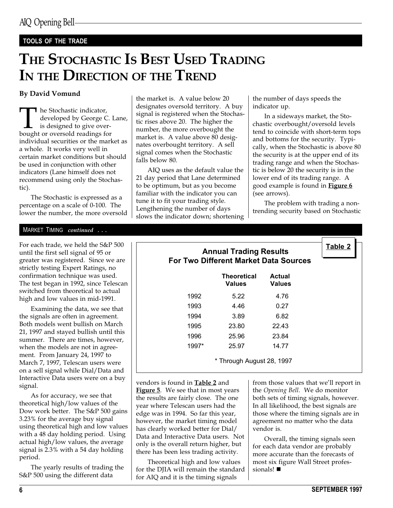### TOOLS OF THE TRADE

# THE STOCHASTIC IS BEST USED TRADING IN THE DIRECTION OF THE TREND

### By David Vomund

The Stochastic indicator,<br>developed by George C.<br>bought or oversold readings for developed by George C. Lane, is designed to give overindividual securities or the market as a whole. It works very well in certain market conditions but should be used in conjunction with other indicators (Lane himself does not recommend using only the Stochastic).

The Stochastic is expressed as a percentage on a scale of 0-100. The lower the number, the more oversold

the market is. A value below 20 designates oversold territory. A buy signal is registered when the Stochastic rises above 20. The higher the number, the more overbought the market is. A value above 80 designates overbought territory. A sell signal comes when the Stochastic falls below 80.

AIQ uses as the default value the 21 day period that Lane determined to be optimum, but as you become familiar with the indicator you can tune it to fit your trading style. Lengthening the number of days slows the indicator down; shortening the number of days speeds the indicator up.

In a sideways market, the Stochastic overbought/oversold levels tend to coincide with short-term tops and bottoms for the security. Typically, when the Stochastic is above 80 the security is at the upper end of its trading range and when the Stochastic is below 20 the security is in the lower end of its trading range. A good example is found in Figure 6 (see arrows).

The problem with trading a nontrending security based on Stochastic

### MARKET TIMING continued ...

Examining the data, we see that the signals are often in agreement. Both models went bullish on March 21, 1997 and stayed bullish until this summer. There are times, however, when the models are not in agreement. From January 24, 1997 to March 7, 1997, Telescan users were on a sell signal while Dial/Data and Interactive Data users were on a buy signal.

As for accuracy, we see that theoretical high/low values of the Dow work better. The S&P 500 gains 3.23% for the average buy signal using theoretical high and low values with a 48 day holding period. Using actual high/low values, the average signal is 2.3% with a 54 day holding period.

The yearly results of trading the S&P 500 using the different data

| For each trade, we held the S&P 500<br>until the first sell signal of 95 or<br>greater was registered. Since we are | <b>Annual Trading Results</b><br><b>For Two Different Market Data Sources</b> |                                     |                         | Table 2 |
|---------------------------------------------------------------------------------------------------------------------|-------------------------------------------------------------------------------|-------------------------------------|-------------------------|---------|
| strictly testing Expert Ratings, no<br>confirmation technique was used.<br>The test began in 1992, since Telescan   |                                                                               | <b>Theoretical</b><br><b>Values</b> | Actual<br><b>Values</b> |         |
| switched from theoretical to actual<br>high and low values in mid-1991.                                             | 1992                                                                          | 5.22                                | 4.76                    |         |
| Examining the data, we see that                                                                                     | 1993                                                                          | 4.46                                | 0.27                    |         |
| the signals are often in agreement.                                                                                 | 1994                                                                          | 3.89                                | 6.82                    |         |
| Both models went bullish on March                                                                                   | 1995                                                                          | 23.80                               | 22.43                   |         |
| 21, 1997 and stayed bullish until this<br>summer. There are times, however,                                         | 1996                                                                          | 25.96                               | 23.84                   |         |
| when the models are not in agree-                                                                                   | 1997*                                                                         | 25.97                               | 14.77                   |         |
| ment. From January 24, 1997 to<br>March 7-1997. Telescan users were                                                 | * Through August 28, 1997                                                     |                                     |                         |         |

vendors is found in Table 2 and **Figure 5.** We see that in most years the results are fairly close. The one year where Telescan users had the edge was in 1994. So far this year, however, the market timing model has clearly worked better for Dial/ Data and Interactive Data users. Not only is the overall return higher, but there has been less trading activity.

Theoretical high and low values for the DJIA will remain the standard for AIQ and it is the timing signals

from those values that we'll report in the Opening Bell. We do monitor both sets of timing signals, however. In all likelihood, the best signals are those where the timing signals are in agreement no matter who the data vendor is.

Overall, the timing signals seen for each data vendor are probably more accurate than the forecasts of most six figure Wall Street professionals! $\blacksquare$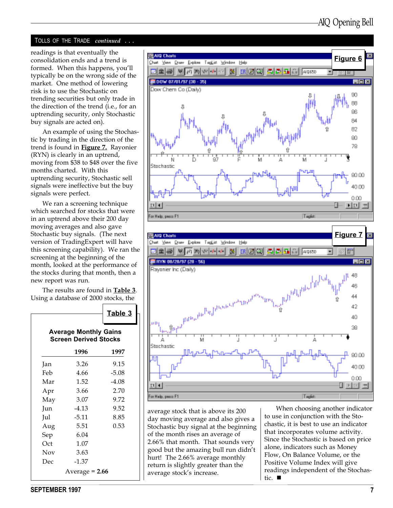### TOLLS OF THE TRADE continued . . .

readings is that eventually the consolidation ends and a trend is formed. When this happens, you'll typically be on the wrong side of the market. One method of lowering risk is to use the Stochastic on trending securities but only trade in the direction of the trend (i.e., for an uptrending security, only Stochastic buy signals are acted on).

An example of using the Stochastic by trading in the direction of the trend is found in **Figure 7.** Rayonier (RYN) is clearly in an uptrend, moving from \$38 to \$48 over the five months charted. With this uptrending security, Stochastic sell signals were ineffective but the buy signals were perfect.

We ran a screening technique which searched for stocks that were in an uptrend above their 200 day moving averages and also gave Stochastic buy signals. (The next version of TradingExpert will have this screening capability). We ran the screening at the beginning of the month, looked at the performance of the stocks during that month, then a new report was run.

The results are found in Table 3. Using a database of 2000 stocks, the

|                                                              |                  | Table 3 |  |
|--------------------------------------------------------------|------------------|---------|--|
| <b>Average Monthly Gains</b><br><b>Screen Derived Stocks</b> |                  |         |  |
|                                                              | 1996             | 1997    |  |
| Jan                                                          | 3.26             | 9.15    |  |
| Feb                                                          | 4.66             | $-5.08$ |  |
| Mar                                                          | 1.52             | $-4.08$ |  |
| Apr                                                          | 3.66             | 2.70    |  |
| May                                                          | 3.07             | 9.72    |  |
| Jun                                                          | -4.13            | 9.52    |  |
| Jul                                                          | $-5.11$          | 8.85    |  |
| Aug                                                          | 5.51             | 0.53    |  |
| Sep                                                          | 6.04             |         |  |
| Oct                                                          | 1.07             |         |  |
| Nov                                                          | 3.63             |         |  |
| Dec                                                          | $-1.37$          |         |  |
|                                                              | Average $= 2.66$ |         |  |





average stock that is above its 200 day moving average and also gives a Stochastic buy signal at the beginning of the month rises an average of 2.66% that month. That sounds very good but the amazing bull run didn't hurt! The 2.66% average monthly return is slightly greater than the average stock's increase.

When choosing another indicator to use in conjunction with the Stochastic, it is best to use an indicator that incorporates volume activity. Since the Stochastic is based on price alone, indicators such as Money Flow, On Balance Volume, or the Positive Volume Index will give readings independent of the Stochastic.  $\blacksquare$